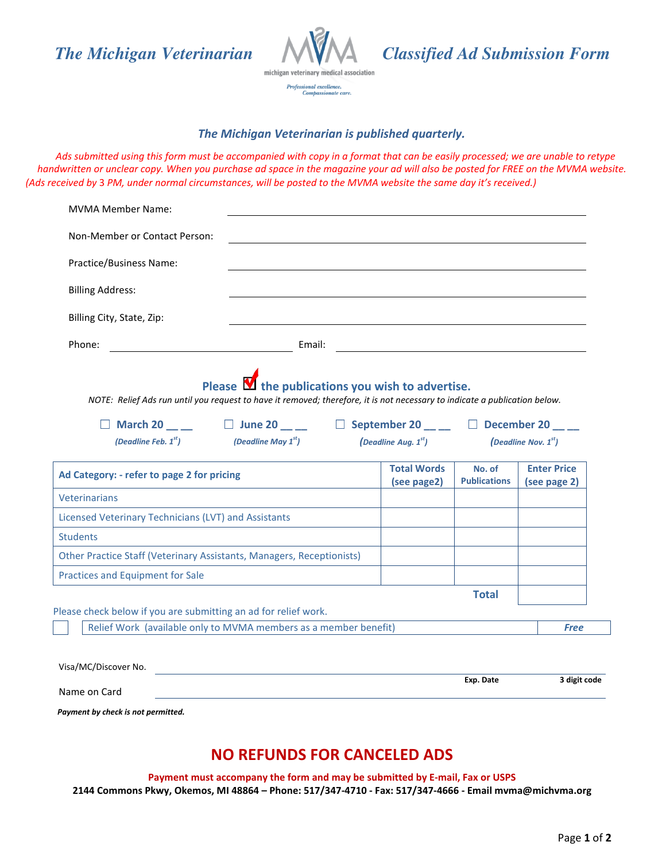

Professional excellence.<br>Compassionate care.

*The Michigan Veterinarian Classified Ad Submission Form*

## *The Michigan Veterinarian is published quarterly.*

*Ads submitted using this form must be accompanied with copy in a format that can be easily processed; we are unable to retype handwritten or unclear copy. When you purchase ad space in the magazine your ad will also be posted for FREE on the MVMA website. (Ads received by* 3 *PM, under normal circumstances, will be posted to the MVMA website the same day it's received.)* 

| Practice/Business Name:                                               |                                                                                                                                                  |  |                                  |                               |                                    |
|-----------------------------------------------------------------------|--------------------------------------------------------------------------------------------------------------------------------------------------|--|----------------------------------|-------------------------------|------------------------------------|
|                                                                       |                                                                                                                                                  |  |                                  |                               |                                    |
| <b>Billing Address:</b>                                               |                                                                                                                                                  |  |                                  |                               |                                    |
| Billing City, State, Zip:                                             |                                                                                                                                                  |  |                                  |                               |                                    |
| Phone:                                                                | <u> 1980 - Johann Barbara, martin a</u>                                                                                                          |  |                                  |                               |                                    |
|                                                                       | $\Box$ March 20 __ __ $\Box$ June 20 __ _ $\Box$ September 20 __ _ $\Box$ December 20 __ _<br>(Deadline Feb. $1^{st}$ ) (Deadline May $1^{st}$ ) |  | <i>(Deadline Aug.</i> $1^{st}$ ) | (Deadline Nov. $1st$ )        |                                    |
|                                                                       |                                                                                                                                                  |  |                                  |                               |                                    |
| Ad Category: - refer to page 2 for pricing                            |                                                                                                                                                  |  | <b>Total Words</b>               | No. of<br><b>Publications</b> | <b>Enter Price</b><br>(see page 2) |
|                                                                       |                                                                                                                                                  |  | (see page2)                      |                               |                                    |
| <b>Veterinarians</b>                                                  |                                                                                                                                                  |  |                                  |                               |                                    |
| Licensed Veterinary Technicians (LVT) and Assistants                  |                                                                                                                                                  |  |                                  |                               |                                    |
| <b>Students</b>                                                       |                                                                                                                                                  |  |                                  |                               |                                    |
| Other Practice Staff (Veterinary Assistants, Managers, Receptionists) |                                                                                                                                                  |  |                                  |                               |                                    |
| Practices and Equipment for Sale                                      |                                                                                                                                                  |  |                                  |                               |                                    |
| Please check below if you are submitting an ad for relief work.       |                                                                                                                                                  |  |                                  | <b>Total</b>                  |                                    |

*Payment by check is not permitted.*

## **NO REFUNDS FOR CANCELED ADS**

**Payment must accompany the form and may be submitted by E-mail, Fax or USPS 2144 Commons Pkwy, Okemos, MI 48864 – Phone: 517/347-4710 - Fax: 517/347-4666 - Email mvma@michvma.org**